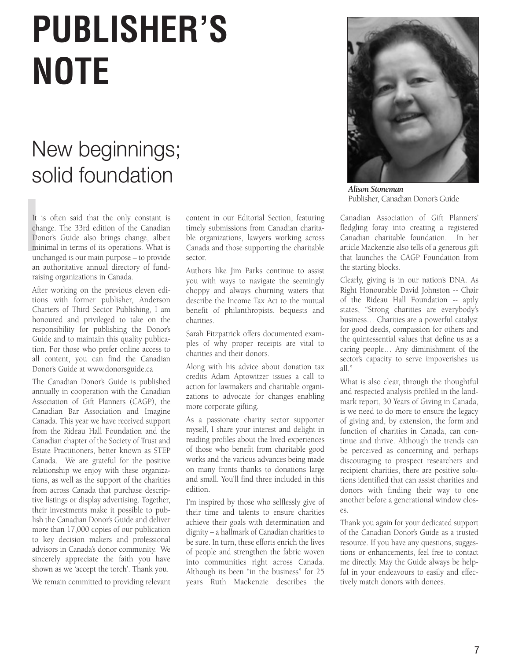## **PUBLISHER'S NOTE**

### New beginnings; solid foundation

It<br>ch:<br>Dc<br>mi<br>un It is often said that the only constant is change. The 33rd edition of the Canadian Donor's Guide also brings change, albeit minimal in terms of its operations. What is unchanged is our main purpose – to provide an authoritative annual directory of fundraising organizations in Canada.

After working on the previous eleven editions with former publisher, Anderson Charters of Third Sector Publishing, I am honoured and privileged to take on the responsibility for publishing the Donor's Guide and to maintain this quality publication. For those who prefer online access to all content, you can find the Canadian Donor's Guide at www.donorsguide.ca

The Canadian Donor's Guide is published annually in cooperation with the Canadian Association of Gift Planners (CAGP), the Canadian Bar Association and Imagine Canada. This year we have received support from the Rideau Hall Foundation and the Canadian chapter of the Society of Trust and Estate Practitioners, better known as STEP Canada. We are grateful for the positive relationship we enjoy with these organizations, as well as the support of the charities from across Canada that purchase descriptive listings or display advertising. Together, their investments make it possible to publish the Canadian Donor's Guide and deliver more than 17,000 copies of our publication to key decision makers and professional advisors in Canada's donor community. We sincerely appreciate the faith you have shown as we 'accept the torch'. Thank you.

We remain committed to providing relevant

content in our Editorial Section, featuring timely submissions from Canadian charitable organizations, lawyers working across Canada and those supporting the charitable sector.

Authors like Jim Parks continue to assist you with ways to navigate the seemingly choppy and always churning waters that describe the Income Tax Act to the mutual benefit of philanthropists, bequests and charities.

Sarah Fitzpatrick offers documented examples of why proper receipts are vital to charities and their donors.

Along with his advice about donation tax credits Adam Aptowitzer issues a call to action for lawmakers and charitable organizations to advocate for changes enabling more corporate gifting.

As a passionate charity sector supporter myself, I share your interest and delight in reading profiles about the lived experiences of those who benefit from charitable good works and the various advances being made on many fronts thanks to donations large and small. You'll find three included in this edition.

I'm inspired by those who selflessly give of their time and talents to ensure charities achieve their goals with determination and dignity – a hallmark of Canadian charities to be sure. In turn, these efforts enrich the lives of people and strengthen the fabric woven into communities right across Canada. Although its been "in the business" for 25 years Ruth Mackenzie describes the



*Alison Stoneman* Publisher, Canadian Donor's Guide

Canadian Association of Gift Planners' fledgling foray into creating a registered Canadian charitable foundation. In her article Mackenzie also tells of a generous gift that launches the CAGP Foundation from the starting blocks.

Clearly, giving is in our nation's DNA. As Right Honourable David Johnston -- Chair of the Rideau Hall Foundation -- aptly states, "Strong charities are everybody's business… Charities are a powerful catalyst for good deeds, compassion for others and the quintessential values that define us as a caring people… Any diminishment of the sector's capacity to serve impoverishes us all."

What is also clear, through the thoughtful and respected analysis profiled in the landmark report, 30 Years of Giving in Canada, is we need to do more to ensure the legacy of giving and, by extension, the form and function of charities in Canada, can continue and thrive. Although the trends can be perceived as concerning and perhaps discouraging to prospect researchers and recipient charities, there are positive solutions identified that can assist charities and donors with finding their way to one another before a generational window closes.

Thank you again for your dedicated support of the Canadian Donor's Guide as a trusted resource. If you have any questions, suggestions or enhancements, feel free to contact me directly. May the Guide always be helpful in your endeavours to easily and effectively match donors with donees.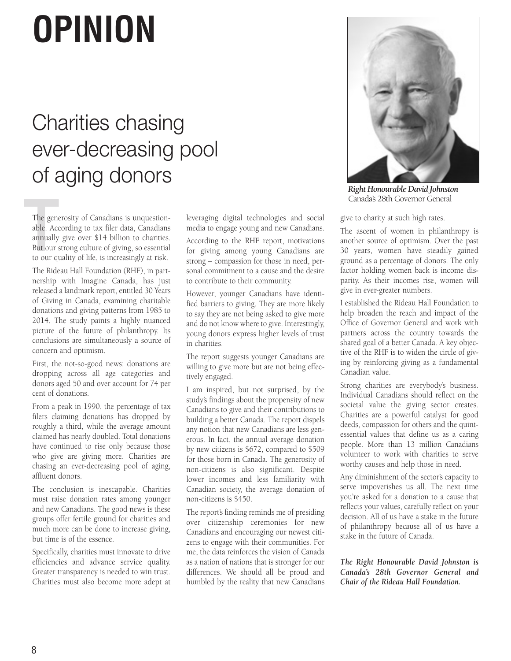## **OPINION**

## Charities chasing ever-decreasing pool of aging donors

The genes<br>able. Acc<br>annually<br>But our s<br>to our qu The generosity of Canadians is unquestionable. According to tax filer data, Canadians annually give over \$14 billion to charities. But our strong culture of giving, so essential to our quality of life, is increasingly at risk.

The Rideau Hall Foundation (RHF), in partnership with Imagine Canada, has just released a landmark report, entitled 30 Years of Giving in Canada, examining charitable donations and giving patterns from 1985 to 2014. The study paints a highly nuanced picture of the future of philanthropy. Its conclusions are simultaneously a source of concern and optimism.

First, the not-so-good news: donations are dropping across all age categories and donors aged 50 and over account for 74 per cent of donations.

From a peak in 1990, the percentage of tax filers claiming donations has dropped by roughly a third, while the average amount claimed has nearly doubled. Total donations have continued to rise only because those who give are giving more. Charities are chasing an ever-decreasing pool of aging, affluent donors.

The conclusion is inescapable. Charities must raise donation rates among younger and new Canadians. The good news is these groups offer fertile ground for charities and much more can be done to increase giving, but time is of the essence.

Specifically, charities must innovate to drive efficiencies and advance service quality. Greater transparency is needed to win trust. Charities must also become more adept at leveraging digital technologies and social media to engage young and new Canadians.

According to the RHF report, motivations for giving among young Canadians are strong – compassion for those in need, personal commitment to a cause and the desire to contribute to their community.

However, younger Canadians have identified barriers to giving. They are more likely to say they are not being asked to give more and do not know where to give. Interestingly, young donors express higher levels of trust in charities.

The report suggests younger Canadians are willing to give more but are not being effectively engaged.

I am inspired, but not surprised, by the study's findings about the propensity of new Canadians to give and their contributions to building a better Canada. The report dispels any notion that new Canadians are less generous. In fact, the annual average donation by new citizens is \$672, compared to \$509 for those born in Canada. The generosity of non-citizens is also significant. Despite lower incomes and less familiarity with Canadian society, the average donation of non-citizens is \$450.

The report's finding reminds me of presiding over citizenship ceremonies for new Canadians and encouraging our newest citizens to engage with their communities. For me, the data reinforces the vision of Canada as a nation of nations that is stronger for our differences. We should all be proud and humbled by the reality that new Canadians



*Right Honourable David Johnston* Canada's 28th Governor General

give to charity at such high rates.

The ascent of women in philanthropy is another source of optimism. Over the past 30 years, women have steadily gained ground as a percentage of donors. The only factor holding women back is income disparity. As their incomes rise, women will give in ever-greater numbers.

I established the Rideau Hall Foundation to help broaden the reach and impact of the Office of Governor General and work with partners across the country towards the shared goal of a better Canada. A key objective of the RHF is to widen the circle of giving by reinforcing giving as a fundamental Canadian value.

Strong charities are everybody's business. Individual Canadians should reflect on the societal value the giving sector creates. Charities are a powerful catalyst for good deeds, compassion for others and the quintessential values that define us as a caring people. More than 13 million Canadians volunteer to work with charities to serve worthy causes and help those in need.

Any diminishment of the sector's capacity to serve impoverishes us all. The next time you're asked for a donation to a cause that reflects your values, carefully reflect on your decision. All of us have a stake in the future of philanthropy because all of us have a stake in the future of Canada.

*The Right Honourable David Johnston is Canada's 28th Governor General and Chair of the Rideau Hall Foundation.*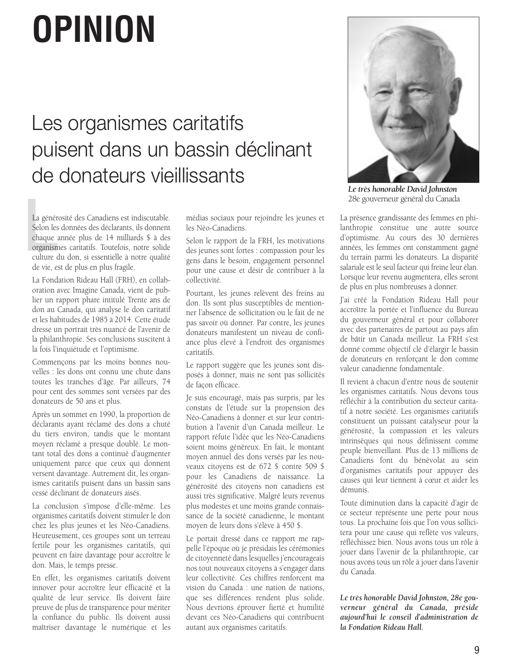## **OPINION**

### Les organismes caritatifs puisent dans un bassin déclinant de donateurs vieillissants

La générosité des Canadiens est indiscutable.<br>Selon les données des déclarants, ils donnent<br>chaque année plus de 14 milliards \$ à des<br>organismes caritatifs. Toutefois, notre solide<br>culture du don, si essentielle à notre qu La générosité des Canadiens est indiscutable. Selon les données des déclarants, ils donnent chaque année plus de 14 milliards \$ à des organismes caritatifs. Toutefois, notre solide de vie, est de plus en plus fragile.

La Fondation Rideau Hall (FRH), en collaboration avec Imagine Canada, vient de publier un rapport phare intitulé Trente ans de don au Canada, qui analyse le don caritatif et les habitudes de 1985 à 2014. Cette étude dresse un portrait très nuancé de l'avenir de la philanthropie. Ses conclusions suscitent à la fois l'inquiétude et l'optimisme.

Commençons par les moins bonnes nouvelles : les dons ont connu une chute dans toutes les tranches d'âge. Par ailleurs, 74 pour cent des sommes sont versées par des donateurs de 50 ans et plus.

Après un sommet en 1990, la proportion de déclarants ayant réclamé des dons a chuté du tiers environ, tandis que le montant moyen réclamé a presque doublé. Le montant total des dons a continué d'augmenter uniquement parce que ceux qui donnent versent davantage. Autrement dit, les organismes caritatifs puisent dans un bassin sans cesse déclinant de donateurs aisés.

La conclusion s'impose d'elle-même. Les organismes caritatifs doivent stimuler le don chez les plus jeunes et les Néo-Canadiens. Heureusement, ces groupes sont un terreau fertile pour les organismes caritatifs, qui peuvent en faire davantage pour accroître le don. Mais, le temps presse.

En effet, les organismes caritatifs doivent innover pour accroître leur efficacité et la qualité de leur service. Ils doivent faire preuve de plus de transparence pour mériter la confiance du public. Ils doivent aussi maîtriser davantage le numérique et les médias sociaux pour rejoindre les jeunes et les Néo-Canadiens.

Selon le rapport de la FRH, les motivations des jeunes sont fortes : compassion pour les gens dans le besoin, engagement personnel pour une cause et désir de contribuer à la collectivité.

Pourtant, les jeunes relèvent des freins au don. Ils sont plus susceptibles de mentionner l'absence de sollicitation ou le fait de ne pas savoir où donner. Par contre, les jeunes donateurs manifestent un niveau de confiance plus élevé à l'endroit des organismes caritatifs.

Le rapport suggère que les jeunes sont disposés à donner, mais ne sont pas sollicités de façon efficace.

Je suis encouragé, mais pas surpris, par les constats de l'étude sur la propension des Néo-Canadiens à donner et sur leur contribution à l'avenir d'un Canada meilleur. Le rapport réfute l'idée que les Néo-Canadiens soient moins généreux. En fait, le montant moyen annuel des dons versés par les nouveaux citoyens est de 672 \$ contre 509 \$ pour les Canadiens de naissance. La générosité des citoyens non canadiens est aussi très significative. Malgré leurs revenus plus modestes et une moins grande connaissance de la société canadienne, le montant moyen de leurs dons s'élève à 450 \$.

Le portait dressé dans ce rapport me rappelle l'époque où je présidais les cérémonies de citoyenneté dans lesquelles j'encourageais nos tout nouveaux citoyens à s'engager dans leur collectivité. Ces chiffres renforcent ma vision du Canada : une nation de nations, que ses différences rendent plus solide. Nous devrions éprouver fierté et humilité devant ces Néo-Canadiens qui contribuent autant aux organismes caritatifs.



*Le très honorable David Johnston* 28e gouverneur général du Canada

La présence grandissante des femmes en philanthropie constitue une autre source d'optimisme. Au cours des 30 dernières années, les femmes ont constamment gagné du terrain parmi les donateurs. La disparité salariale est le seul facteur qui freine leur élan. Lorsque leur revenu augmentera, elles seront de plus en plus nombreuses à donner.

J'ai créé la Fondation Rideau Hall pour accroître la portée et l'influence du Bureau du gouverneur général et pour collaborer avec des partenaires de partout au pays afin de bâtir un Canada meilleur. La FRH s'est donné comme objectif clé d'élargir le bassin de donateurs en renforçant le don comme valeur canadienne fondamentale.

Il revient à chacun d'entre nous de soutenir les organismes caritatifs. Nous devons tous réfléchir à la contribution du secteur caritatif à notre société. Les organismes caritatifs constituent un puissant catalyseur pour la générosité, la compassion et les valeurs intrinsèques qui nous définissent comme peuple bienveillant. Plus de 13 millions de Canadiens font du bénévolat au sein d'organismes caritatifs pour appuyer des causes qui leur tiennent à cœur et aider les démunis.

Toute diminution dans la capacité d'agir de ce secteur représente une perte pour nous tous. La prochaine fois que l'on vous sollicitera pour une cause qui reflète vos valeurs, réfléchissez bien. Nous avons tous un rôle à jouer dans l'avenir de la philanthropie, car nous avons tous un rôle à jouer dans l'avenir du Canada.

*Le très honorable David Johnston, 28e gouverneur général du Canada, préside aujourd'hui le conseil d'administration de la Fondation Rideau Hall.*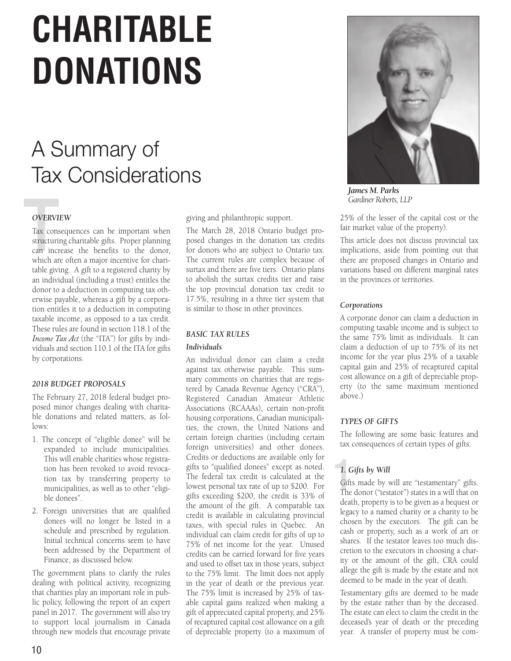# **CHARITABLE<br>
DONATIONS<br>
A Summary of<br>Tax Considerations DONATIONS DONATIONS** DONATIONS

### A Summary of A Summary of A Summary of Tax Considerations Tax Considerations Tax Considerations

#### *OVERVIEW OVERVIEW OVERVIEW OVERVIEW*

**OVERVI**<br>Tax cons<br>structuri<br>can incr<br>which an Tax consequences can be important when structuring charitable gifts. Proper planning can increase the benefits to the donor, which are often a major incentive for charitable giving. A gift to a registered charity by an individual (including a trust) entitles the an individual (including a trust) entitles the<br>donor to a deduction in computing tax otherwise payable, whereas a gift by a corporation entitles it to a deduction in computing tion entities it to a deduction in computing<br>taxable income, as opposed to a tax credit.  $\alpha$  and  $\alpha$  income, as opposed to a tax credit.<br>These rules are found in section 118.1 of the *Income Tax Act* (the "ITA") for gifts by indimome Tax The (the THT) for ghis by their<br>viduals and section 110.1 of the ITA for gifts by corporations. **OVERVIEW**<br>Tax consequences can be important when<br>structuring charitable gifts. Proper planning<br>can increase the benefits to the donor,<br>which are often a major incentive for charividuals and section 110.1 of the ITA for gifts by cornorations  $s<sub>j</sub>$  corporations. taxable income, as opposed to a tax credit. These rules are found in section  $118.1$  of the  $\overline{ }$ Income Tax Act (the "ITA") for gifts by indi-**OVERVIEW**<br>Tax consequences can be important when<br>structuring charitable gifts. Proper planning<br>can increase the benefits to the donor,<br>which are often a major incentive for charitable giving. A gift to a registered charity by

#### *2018 BUDGET PROPOSALS 2016 BUDGET PROPOSALS*

The February 27, 2018 federal budget proposed minor changes dealing with charitaposed innot enanges dealing with enarra-<br>ble donations and related matters, as follows:  $\rho_{\text{WIS}}$ ble donations and related matters, as fol-<br>layer lows:  $\log$  dows:

- 1. The concept of "eligible donee" will be expanded to include municipalities. Expanded to include indifferentles.<br>This will enable charities whose registration has been revoked to avoid revocation has been revoked to avoid revocation tax by transferring property to  $\frac{1}{2}$  municipalities, as well as to other "eligible donees". as file control 1. The concept of engine donee while
- 2. Foreign universities that are qualified roteign unversities that are quantited donees will no longer be listed in a schedule and prescribed by regulation. Initial technical concerns seem to have been addressed by the Department of Finance, as discussed below.

The government plans to clarify the rules dealing with political activity, recognizing that charities play an important role in public policy, following the report of an expert panel in 2017. The government will also try panel in 2017. The government will also try<br>to support local journalism in Canada through new models that encourage private giving and philanthropic support.

The March 28, 2018 Ontario budget proposed changes in the donation tax credits posed changes in the donation tax credits<br>for donors who are subject to Ontario tax. The current rules are complex because of surtax and there are five tiers. Ontario plans to abolish the surtax credits tier and raise the top provincial donation tax credit to  $\frac{1}{2}$  $17.5\%$ , resulting in a three tier system that is similar to those in other provinces.  $\mathbf{r}$ 

#### *BASIC TAX RULES* BASIC TAX RULES

#### Individuals **Finding the Strengthen Canada's** corporations of private corporations in the "excess business hold-

mantiana.<br>An individual donor can claim a credit Financing regime by the corporation of the corporations and an effort by CRA to the summary comments on charities that are registered by Canada Revenue Agency ("CRA"), Registered Canadian Amateur Athletic Associations (RCAAAs), certain non-profit housing corporations, Canadian municipalities, the crown, the United Nations and certain foreign charities (including certain foreign universities) and other donees. Credits or deductions are available only for gifts to "qualified donees" except as noted. The federal tax credit is calculated at the<br>lowest personal tax rate of up to \$200. For Fire rederar dat eredr is calculated at the lowest personal tax rate of up to \$200. For towest personal tax rate or up to  $\sqrt{2\epsilon}$ . The gifts exceeding \$200, the credit is 33% of  $\frac{1}{2}$  charge exceeding  $\frac{1}{2}$  comparable tax the amount of the gift. A comparable tax the table or the gath or comparable tall<br>credit is available in calculating provincial taxes, with special rules in Quebec. An individual can claim credit for gifts of up to 75% of net income for the year. Unused credits can be carried forward for five years and used to offset tax in those years, subject to the 75% limit. The limit does not apply in the year of death or the previous year. The  $75\%$  limit is increased by 25% of taxable capital gains realized when making a gift of appreciated capital property, and 25% of recaptured capital cost allowance on a gift of depreciable property (to a maximum of an individual donor can ciaim a credit able capital gains realized when making a<br>gift of appreciated capital property, and 25%<br>of recaptured capital cost allowance on a gift<br>of depreciable property (to a maximum of individual donor con algim a quadit of recaptured capital cost allowance on a gift



*James M. Parks Gardiner Roberts, LLP*

25% of the lesser of the capital cost or the<br>fair market value of the property). fair market value of the property).

This article does not discuss provincial tax implications, aside from pointing out that there are proposed changes in Ontario and variations based on different marginal rates in the provinces or territories. of recaptured capital cost allowance on a gift

#### *Corporations*  $\omega$  por accords and  $\omega$  approximated capital capital capital capital capital capital capital capital capital capital capital capital capital capital capital capital capital capital capital capital capital capital capita  $Corporations$

a corporate donor can claim a deduction in computing taxable income and is subject to the same  $75\%$  limit as individuals. It can claim a deduction of up to 75% of its net income for the year. plus  $25\%$  of a taxable income for the year. plus  $25\%$  of a taxable meeting for the year phase 25% of a diffused<br>capital gain and 25% of recaptured capital cost allowance on a gift of depreciable prop-From the category of a taxable from points.<br>
erty (to the same maximum mentioned above.) the capital gain and different capital conditions. marginal rates in the provinces or territocost allowance on a gift of depreciable prop-

#### **TYPES OF GIFTS**

The following are some basic features and tax consequences of certain types of gifts. in large donations not being fully eligible ance to do with the basic reactives and max consequences of certain types of gate.

#### for the expected tax credits. 1. Gifts by Will cost or the fair market value of the proper-

1 *1. Gifts by Will* Gifts made by will are "testamentary" gifts. The donor ("testator") states in a will that on rhe donor (*testator )* states in a will that on death, property is to be given as a bequest or legacy to a named charity or a charity to be chosen by the executors. The gift can be cash or property, such as a work of art or shares. If the testator leaves too much discretion to the executors in choosing a charshares. If the testator leaves too much discretion to the executors in choosing a charity or the amount of the gift, CRA could allege the gift is made by the estate and not deemed to be made in the year of death. I ne c<br>death<br>legacy<br>chose diamate, property to the subject the transportance.

Testamentary gifts are deemed to be made by the estate rather than by the deceased. *Fy* the estate rather than *by* the deceased.<br>The estate can elect to claim the credit in the deceased's year of death or the preceding deceased's year of death or the preceding<br>year. A transfer of property must be com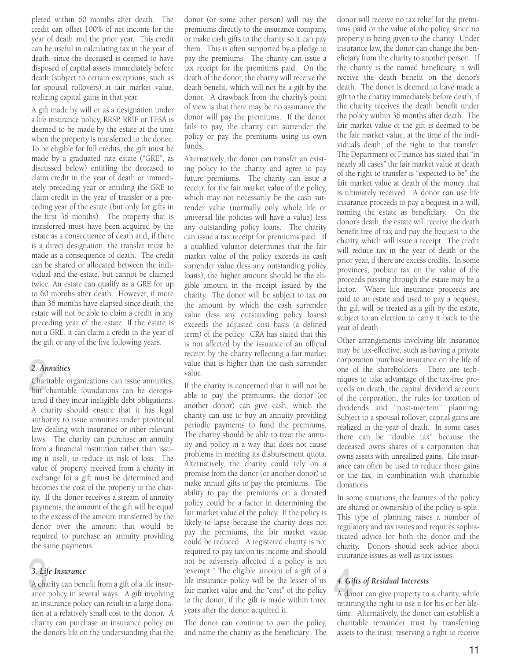pleted within 60 months after death. The credit can offset 100% of net income for the year of death and the prior year. This credit can be useful in calculating tax in the year of death, since the deceased is deemed to have disposed of capital assets immediately before death (subject to certain exceptions, such as for spousal rollovers) at fair market value, realizing capital gains in that year.

A gift made by will or as a designation under a life insurance policy, RRSP, RRIF or TFSA is deemed to be made by the estate at the time when the property is transferred to the donee. To be eligible for full credits, the gift must be made by a graduated rate estate ("GRE", as discussed below) entitling the deceased to claim credit in the year of death or immediately preceding year or entitling the GRE to claim credit in the year of transfer or a preceding year of the estate (but only for gifts in the first 36 months). The property that is transferred must have been acquired by the estate as a consequence of death and, if there is a direct designation, the transfer must be made as a consequence of death. The credit can be shared or allocated between the individual and the estate, but cannot be claimed twice. An estate can qualify as a GRE for up to 60 months after death. However, if more than 36 months have elapsed since death, the estate will not be able to claim a credit in any preceding year of the estate. If the estate is not a GRE, it can claim a credit in the year of the gift or any of the five following years.

#### *2. Annuities*

2. Annuities<br>Charitable organizations can issue annuities,<br>but charitable foundations can be deregis-Charitable organizations can issue annuities, tered if they incur ineligible debt obligations. A charity should ensure that it has legal authority to issue annuities under provincial law dealing with insurance or other relevant laws. The charity can purchase an annuity from a financial institution rather than issuing it itself, to reduce its risk of loss. The value of property received from a charity in exchange for a gift must be determined and becomes the cost of the property to the charity. If the donor receives a stream of annuity payments, the amount of the gift will be equal to the excess of the amount transferred by the donor over the amount that would be required to purchase an annuity providing the same payments.

#### *3. Life Insurance*

A charity can benefit from a gift of a life insurance policy in several ways. A gift involving an insurance policy can result in a large donation at a relatively small cost to the donor. A charity can purchase an insurance policy on the donor's life on the understanding that the

donor (or some other person) will pay the premiums directly to the insurance company, or make cash gifts to the charity so it can pay them. This is often supported by a pledge to pay the premiums. The charity can issue a tax receipt for the premiums paid. On the death of the donor, the charity will receive the death benefit, which will not be a gift by the donor. A drawback from the charity's point of view is that there may be no assurance the donor will pay the premiums. If the donor fails to pay, the charity can surrender the policy or pay the premiums using its own funds.

Alternatively, the donor can transfer an existing policy to the charity and agree to pay future premiums. The charity can issue a receipt for the fair market value of the policy, which may not necessarily be the cash surrender value (normally only whole life or universal life policies will have a value) less any outstanding policy loans. The charity can issue a tax receipt for premiums paid. If a qualified valuator determines that the fair market value of the policy exceeds its cash surrender value (less any outstanding policy loans), the higher amount should be the eligible amount in the receipt issued by the charity. The donor will be subject to tax on the amount by which the cash surrender value (less any outstanding policy loans) exceeds the adjusted cost basis (a defined term) of the policy. CRA has stated that this is not affected by the issuance of an official receipt by the charity reflecting a fair market value that is higher than the cash surrender value.

3. Life Insurance<br>
3. Life Insurance<br>
4. Gi<br>
A charity can benefit from a gift of a life insur-<br>
ance policy in several ways. A gift involving<br>
an insurance policy can result in a large donation of the donor, if the gift i If the charity is concerned that it will not be able to pay the premiums, the donor (or another donor) can give cash, which the charity can use to buy an annuity providing periodic payments to fund the premiums. The charity should be able to treat the annuity and policy in a way that does not cause problems in meeting its disbursement quota. Alternatively, the charity could rely on a promise from the donor (or another donor) to make annual gifts to pay the premiums. The ability to pay the premiums on a donated policy could be a factor in determining the fair market value of the policy. If the policy is likely to lapse because the charity does not pay the premiums, the fair market value could be reduced. A registered charity is not required to pay tax on its income and should not be adversely affected if a policy is not "exempt." The eligible amount of a gift of a life insurance policy will be the lesser of its fair market value and the "cost" of the policy to the donor, if the gift is made within three years after the donor acquired it.

> The donor can continue to own the policy, and name the charity as the beneficiary. The

donor will receive no tax relief for the premiums paid or the value of the policy, since no property is being given to the charity. Under insurance law, the donor can change the beneficiary from the charity to another person. If the charity is the named beneficiary, it will receive the death benefit on the donor's death. The donor is deemed to have made a gift to the charity immediately before death, if the charity receives the death benefit under the policy within 36 months after death. The fair market value of the gift is deemed to be the fair market value, at the time of the individual's death, of the right to that transfer. The Department of Finance has stated that "in nearly all cases" the fair market value at death of the right to transfer is "expected to be" the fair market value at death of the money that is ultimately received. A donor can use life insurance proceeds to pay a bequest in a will, naming the estate as beneficiary. On the donor's death, the estate will receive the death benefit free of tax and pay the bequest to the charity, which will issue a receipt. The credit will reduce tax in the year of death or the prior year, if there are excess credits. In some provinces, probate tax on the value of the proceeds passing through the estate may be a factor. Where life insurance proceeds are paid to an estate and used to pay a bequest, the gift will be treated as a gift by the estate, subject to an election to carry it back to the year of death.

Other arrangements involving life insurance may be tax-effective, such as having a private corporation purchase insurance on the life of one of the shareholders. There are techniques to take advantage of the tax-free proceeds on death, the capital dividend account of the corporation, the rules for taxation of dividends and "post-mortem" planning. Subject to a spousal rollover, capital gains are realized in the year of death. In some cases there can be "double tax" because the deceased owns shares of a corporation that owns assets with unrealized gains. Life insurance can often be used to reduce those gains or the tax, in combination with charitable donations.

In some situations, the features of the policy are shared or ownership of the policy is split. This type of planning raises a number of regulatory and tax issues and requires sophisticated advice for both the donor and the charity. Donors should seek advice about insurance issues as well as tax issues.

#### *4. Gifts of Residual Interests*

A donor can give property to a charity, while retaining the right to use it for his or her lifetime. Alternatively, the donor can establish a charitable remainder trust by transferring assets to the trust, reserving a right to receive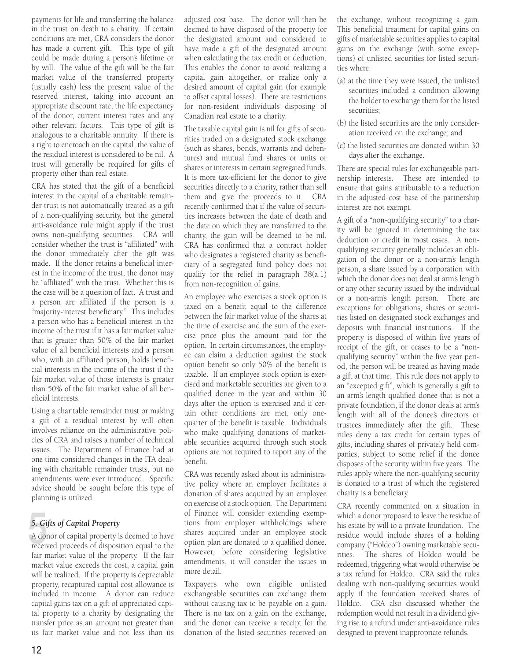payments for life and transferring the balance in the trust on death to a charity. If certain conditions are met, CRA considers the donor has made a current gift. This type of gift could be made during a person's lifetime or by will. The value of the gift will be the fair market value of the transferred property (usually cash) less the present value of the reserved interest, taking into account an appropriate discount rate, the life expectancy of the donor, current interest rates and any other relevant factors. This type of gift is analogous to a charitable annuity. If there is a right to encroach on the capital, the value of the residual interest is considered to be nil. A trust will generally be required for gifts of property other than real estate.

CRA has stated that the gift of a beneficial interest in the capital of a charitable remainder trust is not automatically treated as a gift of a non-qualifying security, but the general anti-avoidance rule might apply if the trust owns non-qualifying securities. CRA will consider whether the trust is "affiliated" with the donor immediately after the gift was made. If the donor retains a beneficial interest in the income of the trust, the donor may be "affiliated" with the trust. Whether this is the case will be a question of fact. A trust and a person are affiliated if the person is a "majority-interest beneficiary." This includes a person who has a beneficial interest in the income of the trust if it has a fair market value that is greater than 50% of the fair market value of all beneficial interests and a person who, with an affiliated person, holds beneficial interests in the income of the trust if the fair market value of those interests is greater than 50% of the fair market value of all beneficial interests.

Using a charitable remainder trust or making a gift of a residual interest by will often involves reliance on the administrative policies of CRA and raises a number of technical issues. The Department of Finance had at one time considered changes in the ITA dealing with charitable remainder trusts, but no amendments were ever introduced. Specific advice should be sought before this type of planning is utilized.

#### *5. Gifts of Capital Property*

5. Gi<br>A doi<br>receiv A donor of capital property is deemed to have received proceeds of disposition equal to the fair market value of the property. If the fair market value exceeds the cost, a capital gain will be realized. If the property is depreciable property, recaptured capital cost allowance is included in income. A donor can reduce capital gains tax on a gift of appreciated capital property to a charity by designating the transfer price as an amount not greater than its fair market value and not less than its

adjusted cost base. The donor will then be deemed to have disposed of the property for the designated amount and considered to have made a gift of the designated amount when calculating the tax credit or deduction. This enables the donor to avoid realizing a capital gain altogether, or realize only a desired amount of capital gain (for example to offset capital losses). There are restrictions for non-resident individuals disposing of Canadian real estate to a charity.

The taxable capital gain is nil for gifts of securities traded on a designated stock exchange (such as shares, bonds, warrants and debentures) and mutual fund shares or units or shares or interests in certain segregated funds. It is more tax-efficient for the donor to give securities directly to a charity, rather than sell them and give the proceeds to it. CRA recently confirmed that if the value of securities increases between the date of death and the date on which they are transferred to the charity, the gain will be deemed to be nil. CRA has confirmed that a contract holder who designates a registered charity as beneficiary of a segregated fund policy does not qualify for the relief in paragraph 38(a.1) from non-recognition of gains.

An employee who exercises a stock option is taxed on a benefit equal to the difference between the fair market value of the shares at the time of exercise and the sum of the exercise price plus the amount paid for the option. In certain circumstances, the employee can claim a deduction against the stock option benefit so only 50% of the benefit is taxable. If an employee stock option is exercised and marketable securities are given to a qualified donee in the year and within 30 days after the option is exercised and if certain other conditions are met, only onequarter of the benefit is taxable. Individuals who make qualifying donations of marketable securities acquired through such stock options are not required to report any of the benefit.

CRA was recently asked about its administrative policy where an employer facilitates a donation of shares acquired by an employee on exercise of a stock option. The Department of Finance will consider extending exemptions from employer withholdings where shares acquired under an employee stock option plan are donated to a qualified donee. However, before considering legislative amendments, it will consider the issues in more detail.

Taxpayers who own eligible unlisted exchangeable securities can exchange them without causing tax to be payable on a gain. There is no tax on a gain on the exchange, and the donor can receive a receipt for the donation of the listed securities received on

the exchange, without recognizing a gain. This beneficial treatment for capital gains on gifts of marketable securities applies to capital gains on the exchange (with some exceptions) of unlisted securities for listed securities where:

- (a) at the time they were issued, the unlisted securities included a condition allowing the holder to exchange them for the listed securities;
- (b) the listed securities are the only consideration received on the exchange; and
- (c) the listed securities are donated within 30 days after the exchange.

There are special rules for exchangeable partnership interests. These are intended to ensure that gains attributable to a reduction in the adjusted cost base of the partnership interest are not exempt.

A gift of a "non-qualifying security" to a charity will be ignored in determining the tax deduction or credit in most cases. A nonqualifying security generally includes an obligation of the donor or a non-arm's length person, a share issued by a corporation with which the donor does not deal at arm's length or any other security issued by the individual or a non-arm's length person. There are exceptions for obligations, shares or securities listed on designated stock exchanges and deposits with financial institutions. If the property is disposed of within five years of receipt of the gift, or ceases to be a "nonqualifying security" within the five year period, the person will be treated as having made a gift at that time. This rule does not apply to an "excepted gift", which is generally a gift to an arm's length qualified donee that is not a private foundation, if the donor deals at arm's length with all of the donee's directors or trustees immediately after the gift. These rules deny a tax credit for certain types of gifts, including shares of privately held companies, subject to some relief if the donee disposes of the security within five years. The rules apply where the non-qualifying security is donated to a trust of which the registered charity is a beneficiary.

CRA recently commented on a situation in which a donor proposed to leave the residue of his estate by will to a private foundation. The residue would include shares of a holding company ("Holdco") owning marketable securities. The shares of Holdco would be redeemed, triggering what would otherwise be a tax refund for Holdco. CRA said the rules dealing with non-qualifying securities would apply if the foundation received shares of Holdco. CRA also discussed whether the redemption would not result in a dividend giving rise to a refund under anti-avoidance rules designed to prevent inappropriate refunds.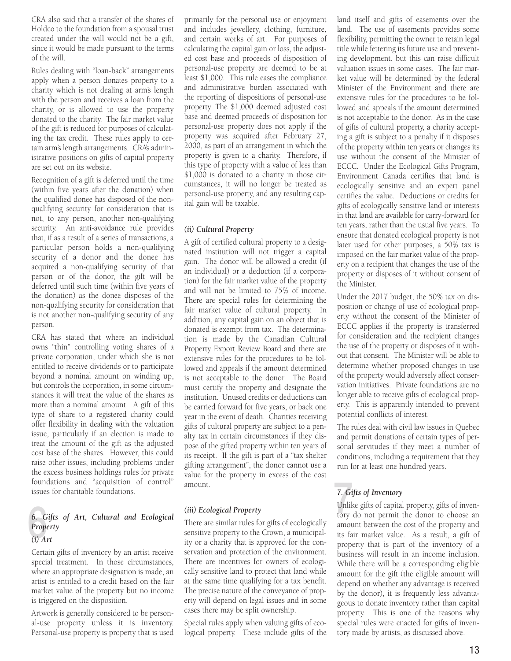CRA also said that a transfer of the shares of Holdco to the foundation from a spousal trust created under the will would not be a gift, since it would be made pursuant to the terms of the will.

Rules dealing with "loan-back" arrangements apply when a person donates property to a charity which is not dealing at arm's length with the person and receives a loan from the charity, or is allowed to use the property donated to the charity. The fair market value of the gift is reduced for purposes of calculating the tax credit. These rules apply to certain arm's length arrangements. CRA's administrative positions on gifts of capital property are set out on its website.

Recognition of a gift is deferred until the time (within five years after the donation) when the qualified donee has disposed of the nonqualifying security for consideration that is not, to any person, another non-qualifying security. An anti-avoidance rule provides that, if as a result of a series of transactions, a particular person holds a non-qualifying security of a donor and the donee has acquired a non-qualifying security of that person or of the donor, the gift will be deferred until such time (within five years of the donation) as the donee disposes of the non-qualifying security for consideration that is not another non-qualifying security of any person.

CRA has stated that where an individual owns "thin" controlling voting shares of a private corporation, under which she is not entitled to receive dividends or to participate beyond a nominal amount on winding up, but controls the corporation, in some circumstances it will treat the value of the shares as more than a nominal amount. A gift of this type of share to a registered charity could offer flexibility in dealing with the valuation issue, particularly if an election is made to treat the amount of the gift as the adjusted cost base of the shares. However, this could raise other issues, including problems under the excess business holdings rules for private foundations and "acquisition of control" issues for charitable foundations.

#### *6. Gifts of Art, Cultural and Ecological Property*

#### *(i) Art*

Certain gifts of inventory by an artist receive special treatment. In those circumstances, where an appropriate designation is made, an artist is entitled to a credit based on the fair market value of the property but no income is triggered on the disposition.

Artwork is generally considered to be personal-use property unless it is inventory. Personal-use property is property that is used

primarily for the personal use or enjoyment and includes jewellery, clothing, furniture, and certain works of art. For purposes of calculating the capital gain or loss, the adjusted cost base and proceeds of disposition of personal-use property are deemed to be at least \$1,000. This rule eases the compliance and administrative burden associated with the reporting of dispositions of personal-use property. The \$1,000 deemed adjusted cost base and deemed proceeds of disposition for personal-use property does not apply if the property was acquired after February 27, 2000, as part of an arrangement in which the property is given to a charity. Therefore, if this type of property with a value of less than \$1,000 is donated to a charity in those circumstances, it will no longer be treated as personal-use property, and any resulting capital gain will be taxable.

#### *(ii) Cultural Property*

A gift of certified cultural property to a designated institution will not trigger a capital gain. The donor will be allowed a credit (if an individual) or a deduction (if a corporation) for the fair market value of the property and will not be limited to 75% of income. There are special rules for determining the fair market value of cultural property. In addition, any capital gain on an object that is donated is exempt from tax. The determination is made by the Canadian Cultural Property Export Review Board and there are extensive rules for the procedures to be followed and appeals if the amount determined is not acceptable to the donor. The Board must certify the property and designate the institution. Unused credits or deductions can be carried forward for five years, or back one year in the event of death. Charities receiving gifts of cultural property are subject to a penalty tax in certain circumstances if they dispose of the gifted property within ten years of its receipt. If the gift is part of a "tax shelter gifting arrangement", the donor cannot use a value for the property in excess of the cost amount.

#### *(iii) Ecological Property*

For the state of the contributions.<br>
Signed School and Ecological Property<br>
Free are similar rules for gifts of ecologically<br>
Free are similar rules for gifts of ecologically<br>
There are similar rules for gifts of ecologica There are similar rules for gifts of ecologically sensitive property to the Crown, a municipality or a charity that is approved for the conservation and protection of the environment. There are incentives for owners of ecologically sensitive land to protect that land while at the same time qualifying for a tax benefit. The precise nature of the conveyance of property will depend on legal issues and in some cases there may be split ownership.

> Special rules apply when valuing gifts of ecological property. These include gifts of the

land itself and gifts of easements over the land. The use of easements provides some flexibility, permitting the owner to retain legal title while fettering its future use and preventing development, but this can raise difficult valuation issues in some cases. The fair market value will be determined by the federal Minister of the Environment and there are extensive rules for the procedures to be followed and appeals if the amount determined is not acceptable to the donor. As in the case of gifts of cultural property, a charity accepting a gift is subject to a penalty if it disposes of the property within ten years or changes its use without the consent of the Minister of ECCC. Under the Ecological Gifts Program, Environment Canada certifies that land is ecologically sensitive and an expert panel certifies the value. Deductions or credits for gifts of ecologically sensitive land or interests in that land are available for carry-forward for ten years, rather than the usual five years. To ensure that donated ecological property is not later used for other purposes, a 50% tax is imposed on the fair market value of the property on a recipient that changes the use of the property or disposes of it without consent of the Minister.

Under the 2017 budget, the 50% tax on disposition or change of use of ecological property without the consent of the Minister of ECCC applies if the property is transferred for consideration and the recipient changes the use of the property or disposes of it without that consent. The Minister will be able to determine whether proposed changes in use of the property would adversely affect conservation initiatives. Private foundations are no longer able to receive gifts of ecological property. This is apparently intended to prevent potential conflicts of interest.

The rules deal with civil law issues in Quebec and permit donations of certain types of personal servitudes if they meet a number of conditions, including a requirement that they run for at least one hundred years.

#### *7. Gifts of Inventory*

Unlike gifts of capital property, gifts of inventory do not permit the donor to choose an amount between the cost of the property and its fair market value. As a result, a gift of property that is part of the inventory of a business will result in an income inclusion. While there will be a corresponding eligible amount for the gift (the eligible amount will depend on whether any advantage is received by the donor), it is frequently less advantageous to donate inventory rather than capital property. This is one of the reasons why special rules were enacted for gifts of inventory made by artists, as discussed above.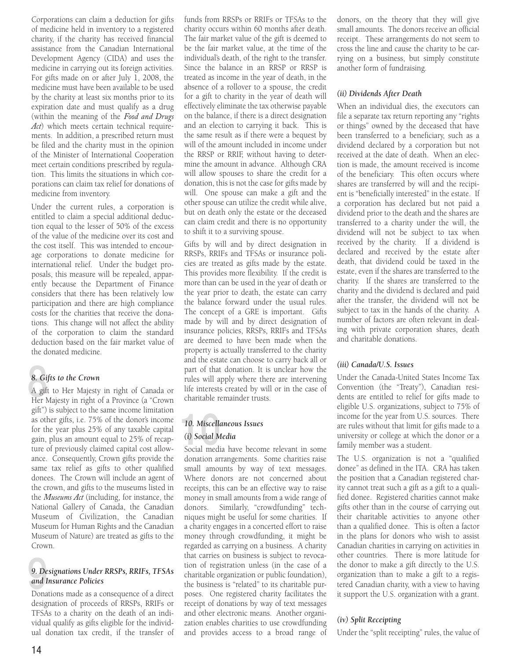Corporations can claim a deduction for gifts of medicine held in inventory to a registered charity, if the charity has received financial assistance from the Canadian International Development Agency (CIDA) and uses the medicine in carrying out its foreign activities. For gifts made on or after July 1, 2008, the medicine must have been available to be used by the charity at least six months prior to its expiration date and must qualify as a drug (within the meaning of the *Food and Drugs Act*) which meets certain technical requirements. In addition, a prescribed return must be filed and the charity must in the opinion of the Minister of International Cooperation meet certain conditions prescribed by regulation. This limits the situations in which corporations can claim tax relief for donations of medicine from inventory.

Under the current rules, a corporation is entitled to claim a special additional deduction equal to the lesser of 50% of the excess of the value of the medicine over its cost and the cost itself. This was intended to encourage corporations to donate medicine for international relief. Under the budget proposals, this measure will be repealed, apparently because the Department of Finance considers that there has been relatively low participation and there are high compliance costs for the charities that receive the donations. This change will not affect the ability of the corporation to claim the standard deduction based on the fair market value of the donated medicine.

#### *8. Gifts to the Crown*

8. Gi<br>A gift<br>Her l A gift to Her Majesty in right of Canada or Her Majesty in right of a Province (a "Crown gift") is subject to the same income limitation as other gifts, i.e. 75% of the donor's income for the year plus 25% of any taxable capital gain, plus an amount equal to 25% of recapture of previously claimed capital cost allowance. Consequently, Crown gifts provide the same tax relief as gifts to other qualified donees. The Crown will include an agent of the crown, and gifts to the museums listed in the *Museums Act* (including, for instance, the National Gallery of Canada, the Canadian Museum of Civilization, the Canadian Museum for Human Rights and the Canadian Museum of Nature) are treated as gifts to the Crown.

#### 9. De<br>
and I<br>
Dona *9. Designations Under RRSPs, RRIFs, TFSAs and Insurance Policies*

Donations made as a consequence of a direct designation of proceeds of RRSPs, RRIFs or TFSAs to a charity on the death of an individual qualify as gifts eligible for the individual donation tax credit, if the transfer of

funds from RRSPs or RRIFs or TFSAs to the charity occurs within 60 months after death. The fair market value of the gift is deemed to be the fair market value, at the time of the individual's death, of the right to the transfer. Since the balance in an RRSP or RRSP is treated as income in the year of death, in the absence of a rollover to a spouse, the credit for a gift to charity in the year of death will effectively eliminate the tax otherwise payable on the balance, if there is a direct designation and an election to carrying it back. This is the same result as if there were a bequest by will of the amount included in income under the RRSP or RRIF, without having to determine the amount in advance. Although CRA will allow spouses to share the credit for a donation, this is not the case for gifts made by will. One spouse can make a gift and the other spouse can utilize the credit while alive, but on death only the estate or the deceased can claim credit and there is no opportunity to shift it to a surviving spouse.

Gifts by will and by direct designation in RRSPs, RRIFs and TFSAs or insurance policies are treated as gifts made by the estate. This provides more flexibility. If the credit is more than can be used in the year of death or the year prior to death, the estate can carry the balance forward under the usual rules. The concept of a GRE is important. Gifts made by will and by direct designation of insurance policies, RRSPs, RRIFs and TFSAs are deemed to have been made when the property is actually transferred to the charity and the estate can choose to carry back all or part of that donation. It is unclear how the rules will apply where there are intervening life interests created by will or in the case of charitable remainder trusts.

### 10. Miscello<br>(i) Social M<br>Social medi *10. Miscellaneous Issues*

#### *(i) Social Media*

Social media have become relevant in some donation arrangements. Some charities raise small amounts by way of text messages. Where donors are not concerned about receipts, this can be an effective way to raise money in small amounts from a wide range of donors. Similarly, "crowdfunding" techniques might be useful for some charities. If a charity engages in a concerted effort to raise money through crowdfunding, it might be regarded as carrying on a business. A charity that carries on business is subject to revocation of registration unless (in the case of a charitable organization or public foundation), the business is "related" to its charitable purposes. One registered charity facilitates the receipt of donations by way of text messages and other electronic means. Another organization enables charities to use crowdfunding and provides access to a broad range of

donors, on the theory that they will give small amounts. The donors receive an official receipt. These arrangements do not seem to cross the line and cause the charity to be carrying on a business, but simply constitute another form of fundraising.

#### *(ii) Dividends After Death*

When an individual dies, the executors can file a separate tax return reporting any "rights or things" owned by the deceased that have been transferred to a beneficiary, such as a dividend declared by a corporation but not received at the date of death. When an election is made, the amount received is income of the beneficiary. This often occurs where shares are transferred by will and the recipient is "beneficially interested" in the estate. If a corporation has declared but not paid a dividend prior to the death and the shares are transferred to a charity under the will, the dividend will not be subject to tax when received by the charity. If a dividend is declared and received by the estate after death, that dividend could be taxed in the estate, even if the shares are transferred to the charity. If the shares are transferred to the charity and the dividend is declared and paid after the transfer, the dividend will not be subject to tax in the hands of the charity. A number of factors are often relevant in dealing with private corporation shares, death and charitable donations.

#### *(iii) Canada/U.S. Issues*

Under the Canada-United States Income Tax Convention (the "Treaty"), Canadian residents are entitled to relief for gifts made to eligible U.S. organizations, subject to 75% of income for the year from U.S. sources. There are rules without that limit for gifts made to a university or college at which the donor or a family member was a student.

The U.S. organization is not a "qualified donee" as defined in the ITA. CRA has taken the position that a Canadian registered charity cannot treat such a gift as a gift to a qualified donee. Registered charities cannot make gifts other than in the course of carrying out their charitable activities to anyone other than a qualified donee. This is often a factor in the plans for donors who wish to assist Canadian charities in carrying on activities in other countries. There is more latitude for the donor to make a gift directly to the U.S. organization than to make a gift to a registered Canadian charity, with a view to having it support the U.S. organization with a grant.

#### *(iv) Split Receipting*

Under the "split receipting" rules, the value of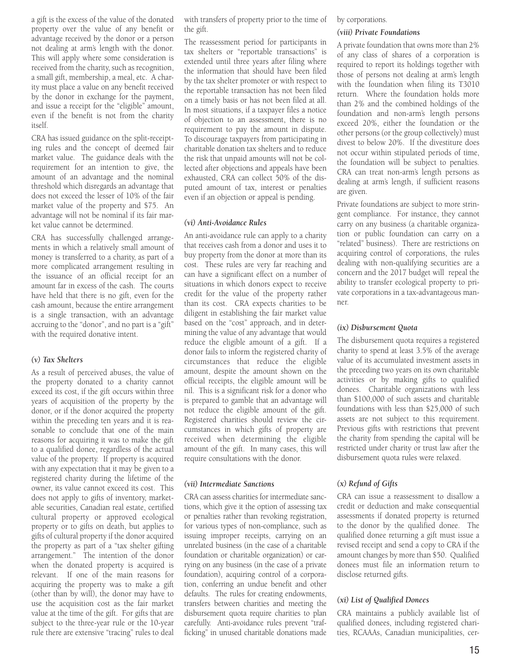a gift is the excess of the value of the donated property over the value of any benefit or advantage received by the donor or a person not dealing at arm's length with the donor. This will apply where some consideration is received from the charity, such as recognition, a small gift, membership, a meal, etc. A charity must place a value on any benefit received by the donor in exchange for the payment, and issue a receipt for the "eligible" amount, even if the benefit is not from the charity itself.

CRA has issued guidance on the split-receipting rules and the concept of deemed fair market value. The guidance deals with the requirement for an intention to give, the amount of an advantage and the nominal threshold which disregards an advantage that does not exceed the lesser of 10% of the fair market value of the property and \$75. An advantage will not be nominal if its fair market value cannot be determined.

CRA has successfully challenged arrangements in which a relatively small amount of money is transferred to a charity, as part of a more complicated arrangement resulting in the issuance of an official receipt for an amount far in excess of the cash. The courts have held that there is no gift, even for the cash amount, because the entire arrangement is a single transaction, with an advantage accruing to the "donor", and no part is a "gift" with the required donative intent.

#### *(v) Tax Shelters*

As a result of perceived abuses, the value of the property donated to a charity cannot exceed its cost, if the gift occurs within three years of acquisition of the property by the donor, or if the donor acquired the property within the preceding ten years and it is reasonable to conclude that one of the main reasons for acquiring it was to make the gift to a qualified donee, regardless of the actual value of the property. If property is acquired with any expectation that it may be given to a registered charity during the lifetime of the owner, its value cannot exceed its cost. This does not apply to gifts of inventory, marketable securities, Canadian real estate, certified cultural property or approved ecological property or to gifts on death, but applies to gifts of cultural property if the donor acquired the property as part of a "tax shelter gifting arrangement." The intention of the donor when the donated property is acquired is relevant. If one of the main reasons for acquiring the property was to make a gift (other than by will), the donor may have to use the acquisition cost as the fair market value at the time of the gift. For gifts that are subject to the three-year rule or the 10-year rule there are extensive "tracing" rules to deal

with transfers of property prior to the time of the gift.

The reassessment period for participants in tax shelters or "reportable transactions" is extended until three years after filing where the information that should have been filed by the tax shelter promoter or with respect to the reportable transaction has not been filed on a timely basis or has not been filed at all. In most situations, if a taxpayer files a notice of objection to an assessment, there is no requirement to pay the amount in dispute. To discourage taxpayers from participating in charitable donation tax shelters and to reduce the risk that unpaid amounts will not be collected after objections and appeals have been exhausted, CRA can collect 50% of the disputed amount of tax, interest or penalties even if an objection or appeal is pending.

#### *(vi) Anti-Avoidance Rules*

An anti-avoidance rule can apply to a charity that receives cash from a donor and uses it to buy property from the donor at more than its cost. These rules are very far reaching and can have a significant effect on a number of situations in which donors expect to receive credit for the value of the property rather than its cost. CRA expects charities to be diligent in establishing the fair market value based on the "cost" approach, and in determining the value of any advantage that would reduce the eligible amount of a gift. If a donor fails to inform the registered charity of circumstances that reduce the eligible amount, despite the amount shown on the official receipts, the eligible amount will be nil. This is a significant risk for a donor who is prepared to gamble that an advantage will not reduce the eligible amount of the gift. Registered charities should review the circumstances in which gifts of property are received when determining the eligible amount of the gift. In many cases, this will require consultations with the donor.

#### *(vii) Intermediate Sanctions*

CRA can assess charities for intermediate sanctions, which give it the option of assessing tax or penalties rather than revoking registration, for various types of non-compliance, such as issuing improper receipts, carrying on an unrelated business (in the case of a charitable foundation or charitable organization) or carrying on any business (in the case of a private foundation), acquiring control of a corporation, conferring an undue benefit and other defaults. The rules for creating endowments, transfers between charities and meeting the disbursement quota require charities to plan carefully. Anti-avoidance rules prevent "trafficking" in unused charitable donations made

#### by corporations.

#### *(viii) Private Foundations*

A private foundation that owns more than 2% of any class of shares of a corporation is required to report its holdings together with those of persons not dealing at arm's length with the foundation when filing its T3010 return. Where the foundation holds more than 2% and the combined holdings of the foundation and non-arm's length persons exceed 20%, either the foundation or the other persons (or the group collectively) must divest to below 20%. If the divestiture does not occur within stipulated periods of time, the foundation will be subject to penalties. CRA can treat non-arm's length persons as dealing at arm's length, if sufficient reasons are given.

Private foundations are subject to more stringent compliance. For instance, they cannot carry on any business (a charitable organization or public foundation can carry on a "related" business). There are restrictions on acquiring control of corporations, the rules dealing with non-qualifying securities are a concern and the 2017 budget will repeal the ability to transfer ecological property to private corporations in a tax-advantageous manner.

#### *(ix) Disbursement Quota*

The disbursement quota requires a registered charity to spend at least 3.5% of the average value of its accumulated investment assets in the preceding two years on its own charitable activities or by making gifts to qualified donees. Charitable organizations with less than \$100,000 of such assets and charitable foundations with less than \$25,000 of such assets are not subject to this requirement. Previous gifts with restrictions that prevent the charity from spending the capital will be restricted under charity or trust law after the disbursement quota rules were relaxed.

#### *(x) Refund of Gifts*

CRA can issue a reassessment to disallow a credit or deduction and make consequential assessments if donated property is returned to the donor by the qualified donee. The qualified donee returning a gift must issue a revised receipt and send a copy to CRA if the amount changes by more than \$50. Qualified donees must file an information return to disclose returned gifts.

#### *(xi) List of Qualified Donees*

CRA maintains a publicly available list of qualified donees, including registered charities, RCAAAs, Canadian municipalities, cer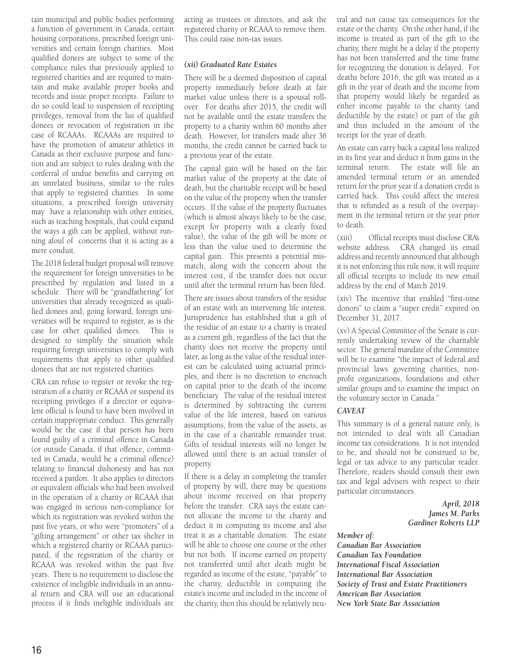tain municipal and public bodies performing a function of government in Canada, certain housing corporations, prescribed foreign universities and certain foreign charities. Most qualified donees are subject to some of the compliance rules that previously applied to registered charities and are required to maintain and make available proper books and records and issue proper receipts. Failure to do so could lead to suspension of receipting privileges, removal from the list of qualified donees or revocation of registration in the case of RCAAAs. RCAAAs are required to have the promotion of amateur athletics in Canada as their exclusive purpose and function and are subject to rules dealing with the conferral of undue benefits and carrying on an unrelated business, similar to the rules that apply to registered charities. In some situations, a prescribed foreign university may have a relationship with other entities, such as teaching hospitals, that could expand the ways a gift can be applied, without running afoul of concerns that it is acting as a mere conduit.

The 2018 federal budget proposal will remove the requirement for foreign universities to be prescribed by regulation and listed in a schedule. There will be "grandfathering" for universities that already recognized as qualified donees and, going forward, foreign universities will be required to register, as is the case for other qualified donees. This is designed to simplify the situation while requiring foreign universities to comply with requirements that apply to other qualified donees that are not registered charities.

CRA can refuse to register or revoke the registration of a charity or RCAAA or suspend its receipting privileges if a director or equivalent official is found to have been involved in certain inappropriate conduct. This generally would be the case if that person has been found guilty of a criminal offence in Canada (or outside Canada, if that offence, committed in Canada, would be a criminal offence) relating to financial dishonesty and has not received a pardon. It also applies to directors or equivalent officials who had been involved in the operation of a charity or RCAAA that was engaged in serious non-compliance for which its registration was revoked within the past five years, or who were "promoters" of a "gifting arrangement" or other tax shelter in which a registered charity or RCAAA participated, if the registration of the charity or RCAAA was revoked within the past five years. There is no requirement to disclose the existence of ineligible individuals in an annual return and CRA will use an educational process if it finds ineligible individuals are

acting as trustees or directors, and ask the registered charity or RCAAA to remove them. This could raise non-tax issues.

#### *(xii) Graduated Rate Estates*

There will be a deemed disposition of capital property immediately before death at fair market value unless there is a spousal rollover. For deaths after 2015, the credit will not be available until the estate transfers the property to a charity within 60 months after death. However, for transfers made after 36 months, the credit cannot be carried back to a previous year of the estate.

The capital gain will be based on the fair market value of the property at the date of death, but the charitable receipt will be based on the value of the property when the transfer occurs. If the value of the property fluctuates (which is almost always likely to be the case, except for property with a clearly fixed value), the value of the gift will be more or less than the value used to determine the capital gain. This presents a potential mismatch, along with the concern about the interest cost, if the transfer does not occur until after the terminal return has been filed.

There are issues about transfers of the residue of an estate with an intervening life interest. Jurisprudence has established that a gift of the residue of an estate to a charity is treated as a current gift, regardless of the fact that the charity does not receive the property until later, as long as the value of the residual interest can be calculated using actuarial principles, and there is no discretion to encroach on capital prior to the death of the income beneficiary. The value of the residual interest is determined by subtracting the current value of the life interest, based on various assumptions, from the value of the assets, as in the case of a charitable remainder trust. Gifts of residual interests will no longer be allowed until there is an actual transfer of property.

If there is a delay in completing the transfer of property by will, there may be questions about income received on that property before the transfer. CRA says the estate cannot allocate the income to the charity and deduct it in computing its income and also treat it as a charitable donation. The estate will be able to choose one course or the other but not both. If income earned on property not transferred until after death might be regarded as income of the estate, "payable" to the charity, deductible in computing the estate's income and included in the income of the charity, then this should be relatively neutral and not cause tax consequences for the estate or the charity. On the other hand, if the income is treated as part of the gift to the charity, there might be a delay if the property has not been transferred and the time frame for recognizing the donation is delayed. For deaths before 2016, the gift was treated as a gift in the year of death and the income from that property would likely be regarded as either income payable to the charity (and deductible by the estate) or part of the gift and thus included in the amount of the receipt for the year of death.

An estate can carry back a capital loss realized in its first year and deduct it from gains in the terminal return. The estate will file an amended terminal return or an amended return for the prior year if a donation credit is carried back. This could affect the interest that is refunded as a result of the overpayment in the terminal return or the year prior to death.

(xiii) Official receipts must disclose CRA's website address. CRA changed its email address and recently announced that although it is not enforcing this rule now, it will require all official receipts to include its new email address by the end of March 2019.

(xiv) The incentive that enabled "first-time donors" to claim a "super credit" expired on December 31, 2017.

(xv) A Special Committee of the Senate is currently undertaking review of the charitable sector. The general mandate of the Committee will be to examine "the impact of federal and provincial laws governing charities, nonprofit organizations, foundations and other similar groups and to examine the impact on the voluntary sector in Canada."

#### *CAVEAT*

This summary is of a general nature only, is not intended to deal with all Canadian income tax considerations. It is not intended to be, and should not be construed to be, legal or tax advice to any particular reader. Therefore, readers should consult their own tax and legal advisers with respect to their particular circumstances.

> *April, 2018 James M. Parks Gardiner Roberts LLP*

*Member of: Canadian Bar Association Canadian Tax Foundation International Fiscal Association International Bar Association Society of Trust and Estate Practitioners American Bar Association New York State Bar Association*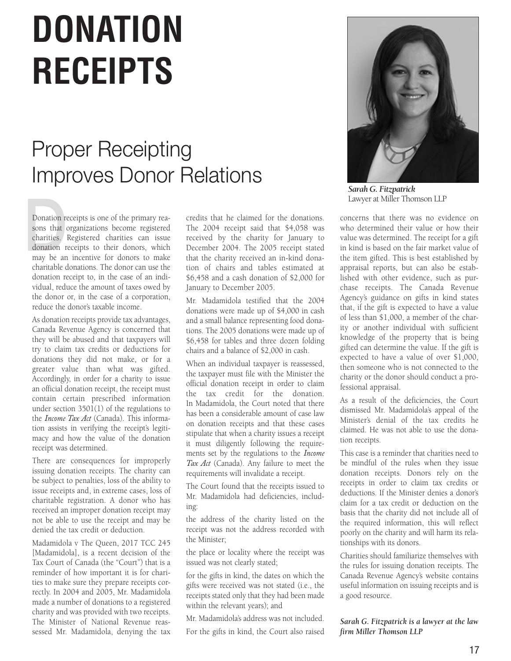## **DONATION RECEIPTS**

### Proper Receipting Improves Donor Relations

Donation re<br>sons that<br>charities.<br>donation r<br>may be an Donation receipts is one of the primary reasons that organizations become registered charities. Registered charities can issue donation receipts to their donors, which may be an incentive for donors to make charitable donations. The donor can use the donation receipt to, in the case of an individual, reduce the amount of taxes owed by the donor or, in the case of a corporation, reduce the donor's taxable income.

As donation receipts provide tax advantages, Canada Revenue Agency is concerned that they will be abused and that taxpayers will try to claim tax credits or deductions for donations they did not make, or for a greater value than what was gifted. Accordingly, in order for a charity to issue an official donation receipt, the receipt must contain certain prescribed information under section  $3501(1)$  of the regulations to the *Income Tax Act* (Canada). This information assists in verifying the receipt's legitimacy and how the value of the donation receipt was determined.

There are consequences for improperly issuing donation receipts. The charity can be subject to penalties, loss of the ability to issue receipts and, in extreme cases, loss of charitable registration. A donor who has received an improper donation receipt may not be able to use the receipt and may be denied the tax credit or deduction.

Madamidola v The Queen, 2017 TCC 245 [Madamidola], is a recent decision of the Tax Court of Canada (the "Court") that is a reminder of how important it is for charities to make sure they prepare receipts correctly. In 2004 and 2005, Mr. Madamidola made a number of donations to a registered charity and was provided with two receipts. The Minister of National Revenue reassessed Mr. Madamidola, denying the tax credits that he claimed for the donations. The 2004 receipt said that \$4,058 was received by the charity for January to December 2004. The 2005 receipt stated that the charity received an in-kind donation of chairs and tables estimated at \$6,458 and a cash donation of \$2,000 for January to December 2005.

Mr. Madamidola testified that the 2004 donations were made up of \$4,000 in cash and a small balance representing food donations. The 2005 donations were made up of \$6,458 for tables and three dozen folding chairs and a balance of \$2,000 in cash.

When an individual taxpayer is reassessed, the taxpayer must file with the Minister the official donation receipt in order to claim the tax credit for the donation. In Madamidola, the Court noted that there has been a considerable amount of case law on donation receipts and that these cases stipulate that when a charity issues a receipt it must diligently following the requirements set by the regulations to the *Income Tax Act* (Canada). Any failure to meet the requirements will invalidate a receipt.

The Court found that the receipts issued to Mr. Madamidola had deficiencies, including:

the address of the charity listed on the receipt was not the address recorded with the Minister;

the place or locality where the receipt was issued was not clearly stated;

for the gifts in kind, the dates on which the gifts were received was not stated (i.e., the receipts stated only that they had been made within the relevant years); and

Mr. Madamidola's address was not included. For the gifts in kind, the Court also raised



*Sarah G. Fitzpatrick* Lawyer at Miller Thomson LLP

concerns that there was no evidence on who determined their value or how their value was determined. The receipt for a gift in kind is based on the fair market value of the item gifted. This is best established by appraisal reports, but can also be established with other evidence, such as purchase receipts. The Canada Revenue Agency's guidance on gifts in kind states that, if the gift is expected to have a value of less than \$1,000, a member of the charity or another individual with sufficient knowledge of the property that is being gifted can determine the value. If the gift is expected to have a value of over \$1,000, then someone who is not connected to the charity or the donor should conduct a professional appraisal.

As a result of the deficiencies, the Court dismissed Mr. Madamidola's appeal of the Minister's denial of the tax credits he claimed. He was not able to use the donation receipts.

This case is a reminder that charities need to be mindful of the rules when they issue donation receipts. Donors rely on the receipts in order to claim tax credits or deductions. If the Minister denies a donor's claim for a tax credit or deduction on the basis that the charity did not include all of the required information, this will reflect poorly on the charity and will harm its relationships with its donors.

Charities should familiarize themselves with the rules for issuing donation receipts. The Canada Revenue Agency's website contains useful information on issuing receipts and is a good resource.

*Sarah G. Fitzpatrick is a lawyer at the law firm Miller Thomson LLP*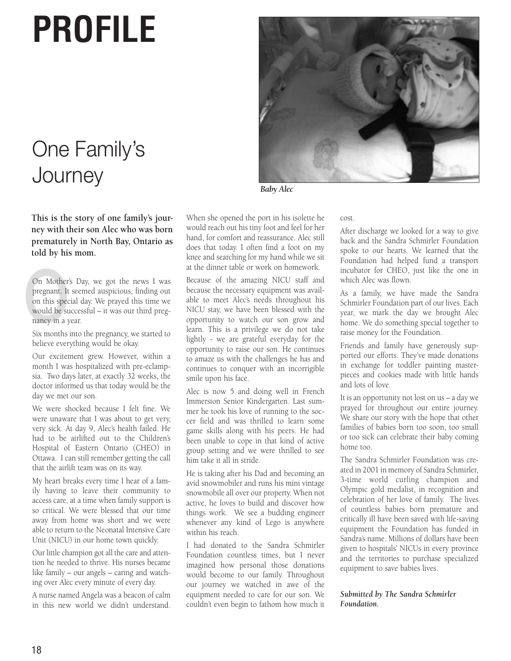## **PROFILE**

### One Family's **Journey**

**This is the story of one family's journey with their son Alec who was born prematurely in North Bay, Ontario as told by his mom.**

On Mother<br>pregnant. It<br>on this spec<br>would be su<br>nancy in a y On Mother's Day, we got the news I was pregnant. It seemed auspicious, finding out on this special day. We prayed this time we would be successful – it was our third pregnancy in a year.

Six months into the pregnancy, we started to believe everything would be okay.

Our excitement grew. However, within a month I was hospitalized with pre-eclampsia. Two days later, at exactly 32 weeks, the doctor informed us that today would be the day we met our son.

We were shocked because I felt fine. We were unaware that I was about to get very, very sick. At day 9, Alec's health failed. He had to be airlifted out to the Children's Hospital of Eastern Ontario (CHEO) in Ottawa. I can still remember getting the call that the airlift team was on its way.

My heart breaks every time I hear of a family having to leave their community to access care, at a time when family support is so critical. We were blessed that our time away from home was short and we were able to return to the Neonatal Intensive Care Unit (NICU) in our home town quickly.

Our little champion got all the care and attention he needed to thrive. His nurses became like family – our angels – caring and watching over Alec every minute of every day.

A nurse named Angela was a beacon of calm in this new world we didn't understand.

When she opened the port in his isolette he would reach out his tiny foot and feel for her hand, for comfort and reassurance. Alec still does that today. I often find a foot on my knee and searching for my hand while we sit at the dinner table or work on homework.

Because of the amazing NICU staff and because the necessary equipment was available to meet Alec's needs throughout his NICU stay, we have been blessed with the opportunity to watch our son grow and learn. This is a privilege we do not take lightly - we are grateful everyday for the opportunity to raise our son. He continues to amaze us with the challenges he has and continues to conquer with an incorrigible smile upon his face.

Alec is now 5 and doing well in French Immersion Senior Kindergarten. Last summer he took his love of running to the soccer field and was thrilled to learn some game skills along with his peers. He had been unable to cope in that kind of active group setting and we were thrilled to see him take it all in stride.

He is taking after his Dad and becoming an avid snowmobiler and runs his mini vintage snowmobile all over our property. When not active, he loves to build and discover how things work. We see a budding engineer whenever any kind of Lego is anywhere within his reach.

I had donated to the Sandra Schmirler Foundation countless times, but I never imagined how personal those donations would become to our family. Throughout our journey we watched in awe of the equipment needed to care for our son. We couldn't even begin to fathom how much it cost.

After discharge we looked for a way to give back and the Sandra Schmirler Foundation spoke to our hearts. We learned that the Foundation had helped fund a transport incubator for CHEO, just like the one in which Alec was flown.

As a family, we have made the Sandra Schmirler Foundation part of our lives. Each year, we mark the day we brought Alec home. We do something special together to raise money for the Foundation.

Friends and family have generously supported our efforts. They've made donations in exchange for toddler painting masterpieces and cookies made with little hands and lots of love.

It is an opportunity not lost on us – a day we prayed for throughout our entire journey. We share our story with the hope that other families of babies born too soon, too small or too sick can celebrate their baby coming home too.

The Sandra Schmirler Foundation was created in 2001 in memory of Sandra Schmirler, 3-time world curling champion and Olympic gold medalist, in recognition and celebration of her love of family. The lives of countless babies born premature and critically ill have been saved with life-saving equipment the Foundation has funded in Sandra's name. Millions of dollars have been given to hospitals' NICUs in every province and the territories to purchase specialized equipment to save babies lives.

#### *Submitted by The Sandra Schmirler Foundation.*

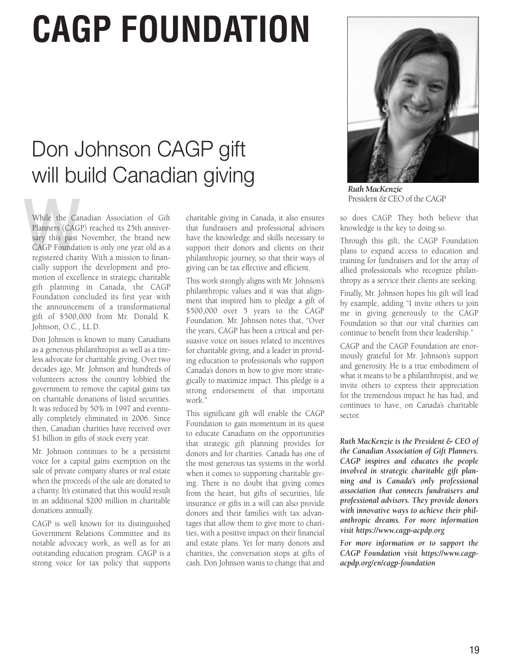## **CAGP FOUNDATION**

### Don Johnson CAGP gift will build Canadian giving

While the Canadian Association of Gift<br>Planners (CAGP) reached its 25th anniver-<br>sary this past November, the brand new<br>CAGP Foundation is only one year old as a<br>registered charity. With a mission to finan-Planners (CAGP) reached its 25th anniversary this past November, the brand new CAGP Foundation is only one year old as a registered charity. With a mission to financially support the development and promotion of excellence in strategic charitable gift planning in Canada, the CAGP Foundation concluded its first year with the announcement of a transformational gift of \$500,000 from Mr. Donald K. Johnson, O.C., LL.D.

Don Johnson is known to many Canadians as a generous philanthropist as well as a tireless advocate for charitable giving. Over two decades ago, Mr. Johnson and hundreds of volunteers across the country lobbied the government to remove the capital gains tax on charitable donations of listed securities. It was reduced by 50% in 1997 and eventually completely eliminated in 2006. Since then, Canadian charities have received over \$1 billion in gifts of stock every year.

Mr. Johnson continues to be a persistent voice for a capital gains exemption on the sale of private company shares or real estate when the proceeds of the sale are donated to a charity. It's estimated that this would result in an additional \$200 million in charitable donations annually.

CAGP is well known for its distinguished Government Relations Committee and its notable advocacy work, as well as for an outstanding education program. CAGP is a strong voice for tax policy that supports

charitable giving in Canada, it also ensures that fundraisers and professional advisors have the knowledge and skills necessary to support their donors and clients on their philanthropic journey, so that their ways of giving can be tax effective and efficient.

This work strongly aligns with Mr. Johnson's philanthropic values and it was that alignment that inspired him to pledge a gift of \$500,000 over 5 years to the CAGP Foundation. Mr. Johnson notes that, "Over the years, CAGP has been a critical and persuasive voice on issues related to incentives for charitable giving, and a leader in providing education to professionals who support Canada's donors in how to give more strategically to maximize impact. This pledge is a strong endorsement of that important work."

This significant gift will enable the CAGP Foundation to gain momentum in its quest to educate Canadians on the opportunities that strategic gift planning provides for donors and for charities. Canada has one of the most generous tax systems in the world when it comes to supporting charitable giving. There is no doubt that giving comes from the heart, but gifts of securities, life insurance or gifts in a will can also provide donors and their families with tax advantages that allow them to give more to charities, with a positive impact on their financial and estate plans. Yet for many donors and charities, the conversation stops at gifts of cash. Don Johnson wants to change that and



*Ruth MacKenzie* President & CEO of the CAGP

so does CAGP. They both believe that knowledge is the key to doing so.

Through this gift, the CAGP Foundation plans to expand access to education and training for fundraisers and for the array of allied professionals who recognize philanthropy as a service their clients are seeking.

Finally, Mr. Johnson hopes his gift will lead by example, adding "I invite others to join me in giving generously to the CAGP Foundation so that our vital charities can continue to benefit from their leadership."

CAGP and the CAGP Foundation are enormously grateful for Mr. Johnson's support and generosity. He is a true embodiment of what it means to be a philanthropist, and we invite others to express their appreciation for the tremendous impact he has had, and continues to have, on Canada's charitable sector.

*Ruth MacKenzie is the President & CEO of the Canadian Association of Gift Planners. CAGP inspires and educates the people involved in strategic charitable gift planning and is Canada's only professional association that connects fundraisers and professional advisors. They provide donors with innovative ways to achieve their philanthropic dreams. For more information visit https://www.cagp-acpdp.org*

*For more information or to support the CAGP Foundation visit https://www.cagpacpdp.org/en/cagp-foundation*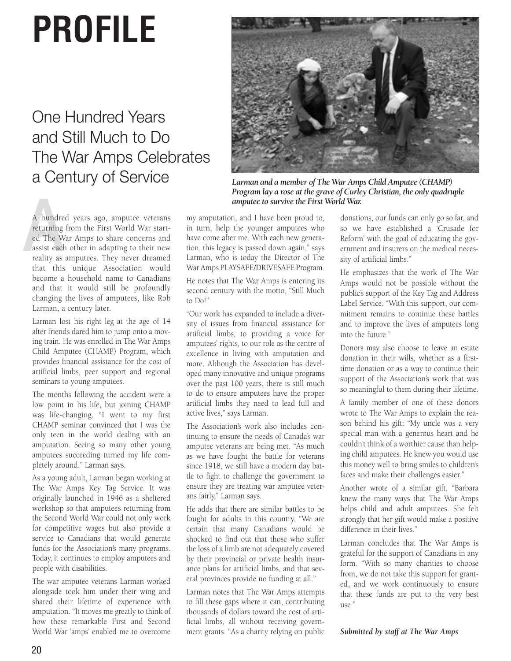## **PROFILE**

One Hundred Years and Still Much to Do The War Amps Celebrates a Century of Service



*Larman and a member of The War Amps Child Amputee (CHAMP) Program lay a rose at the grave of Curley Christian, the only quadruple amputee to survive the First World War.* 

A hundre<br>returning<br>ed The W<br>assist eacl<br>reality as A hundred years ago, amputee veterans returning from the First World War started The War Amps to share concerns and assist each other in adapting to their new reality as amputees. They never dreamed that this unique Association would become a household name to Canadians and that it would still be profoundly changing the lives of amputees, like Rob Larman, a century later.

Larman lost his right leg at the age of 14 after friends dared him to jump onto a moving train. He was enrolled in The War Amps Child Amputee (CHAMP) Program, which provides financial assistance for the cost of artificial limbs, peer support and regional seminars to young amputees.

The months following the accident were a low point in his life, but joining CHAMP was life-changing. "I went to my first CHAMP seminar convinced that I was the only teen in the world dealing with an amputation. Seeing so many other young amputees succeeding turned my life completely around," Larman says.

As a young adult, Larman began working at The War Amps Key Tag Service. It was originally launched in 1946 as a sheltered workshop so that amputees returning from the Second World War could not only work for competitive wages but also provide a service to Canadians that would generate funds for the Association's many programs. Today, it continues to employ amputees and people with disabilities.

The war amputee veterans Larman worked alongside took him under their wing and shared their lifetime of experience with amputation. "It moves me greatly to think of how these remarkable First and Second World War 'amps' enabled me to overcome my amputation, and I have been proud to, in turn, help the younger amputees who have come after me. With each new generation, this legacy is passed down again," says Larman, who is today the Director of The War Amps PLAYSAFE/DRIVESAFE Program.

He notes that The War Amps is entering its second century with the motto, "Still Much to Do!"

"Our work has expanded to include a diversity of issues from financial assistance for artificial limbs, to providing a voice for amputees' rights, to our role as the centre of excellence in living with amputation and more. Although the Association has developed many innovative and unique programs over the past 100 years, there is still much to do to ensure amputees have the proper artificial limbs they need to lead full and active lives," says Larman.

The Association's work also includes continuing to ensure the needs of Canada's war amputee veterans are being met. "As much as we have fought the battle for veterans since 1918, we still have a modern day battle to fight to challenge the government to ensure they are treating war amputee veterans fairly," Larman says.

He adds that there are similar battles to be fought for adults in this country. "We are certain that many Canadians would be shocked to find out that those who suffer the loss of a limb are not adequately covered by their provincial or private health insurance plans for artificial limbs, and that several provinces provide no funding at all."

Larman notes that The War Amps attempts to fill these gaps where it can, contributing thousands of dollars toward the cost of artificial limbs, all without receiving government grants. "As a charity relying on public donations, our funds can only go so far, and so we have established a 'Crusade for Reform' with the goal of educating the government and insurers on the medical necessity of artificial limbs."

He emphasizes that the work of The War Amps would not be possible without the public's support of the Key Tag and Address Label Service. "With this support, our commitment remains to continue these battles and to improve the lives of amputees long into the future."

Donors may also choose to leave an estate donation in their wills, whether as a firsttime donation or as a way to continue their support of the Association's work that was so meaningful to them during their lifetime.

A family member of one of these donors wrote to The War Amps to explain the reason behind his gift: "My uncle was a very special man with a generous heart and he couldn't think of a worthier cause than helping child amputees. He knew you would use this money well to bring smiles to children's faces and make their challenges easier."

Another wrote of a similar gift, "Barbara knew the many ways that The War Amps helps child and adult amputees. She felt strongly that her gift would make a positive difference in their lives."

Larman concludes that The War Amps is grateful for the support of Canadians in any form. "With so many charities to choose from, we do not take this support for granted, and we work continuously to ensure that these funds are put to the very best  $_{11}$ se."

*Submitted by staff at The War Amps*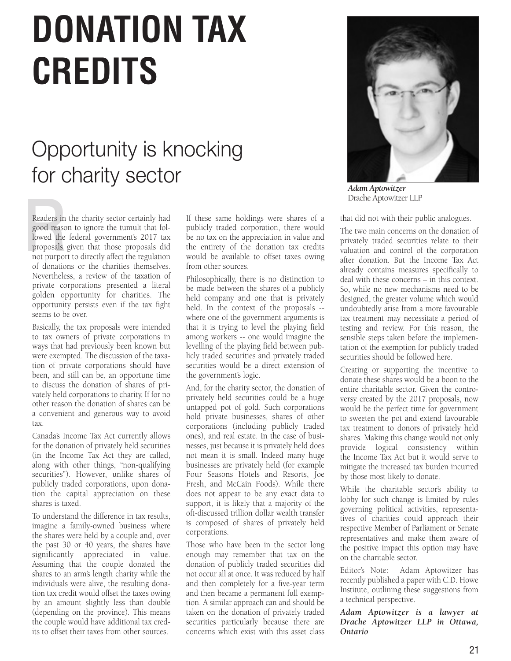## **DONATION TAX CREDITS**

### Opportunity is knocking for charity sector

Readers in the charity sector certainly had good reason to ignore the tumult that followed the federal government's 2017 tax proposals given that those proposals did not purport to directly affect the regulation Readers in the charity sector certainly had good reason to ignore the tumult that followed the federal government's 2017 tax lowed the federal government's 2017 tax<br>proposals given that those proposals did of donations or the charities themselves. Nevertheless, a review of the taxation of private corporations presented a literal golden opportunity for charities. The opportunity persists even if the tax fight seems to be over.

Basically, the tax proposals were intended to tax owners of private corporations in to tax owners or private corporations in<br>ways that had previously been known but ways that had previously been known but were exempted. The discussion of the taxation of private corporations should have been, and still can be, an opportune time to discuss the donation of shares of privately held corporations to charity. If for no vately held corporations to charity. If for no<br>other reason the donation of shares can be a convenient and generous way to avoid tax. specific percentages are applied to determine the set of the set of the set of the set of the set of the set o<br>Set of the set of the set of the set of the set of the set of the set of the set of the set of the set of the basically, the tax proposals were intended mere ener  $\alpha$ 

Canada's Income Tax Act currently allows Earlianda's income Tax Tect euriently anows<br>for the donation of privately held securities to the donation of privately neta securities<br>(in the Income Tax Act they are called, along with other things, "non-qualifying" along with other things, hon-qualitying<br>securities"). However, unlike shares of securities *f*. Thowever, unlike strates of publicly traded corporations, upon donapublicly traded corporations, upon dona-<br>tion the capital appreciation on these then the captur appreciation on these non in capital appreciation on these  $\frac{1}{2}$  and  $\frac{1}{2}$  and  $\frac{1}{2}$  and  $\frac{1}{2}$  and  $\frac{1}{2}$  and  $\frac{1}{2}$  and  $\frac{1}{2}$  and  $\frac{1}{2}$  and  $\frac{1}{2}$  and  $\frac{1}{2}$  and  $\frac{1}{2}$  and  $\frac{1}{2}$  and  $\frac{1}{2}$  and  $\frac{1}{2}$  and  $\frac{1}{2}$  and  $\frac{1}{2}$  a

praced to take a.<br>To understand the difference in tax results, imagine a family-owned business where the shares were held by a couple and, over the past 30 or 40 years, the shares have Ince past 50 or 40 years, the shares have<br>significantly appreciated in value. Assuming that the couple donated the Assuming that the couple donated the shares to an arm's length charity while the and *all all also length* enamy while the individuals were alive, the resulting donamarriadals were alree, the resulting donation tax credit would offset the taxes owing. by an amount slightly less than double (depending on the province). This means the couple would have additional tax credits to offset their taxes from other sources. ho understand the difference in tax results, significantly appreciated in value. Readers in good reass<br>lowed the proposals<br>not purpcosals not purpcosals<br>not purpcosals<br>not purpcosals<br>not purpcosals<br>of donation<br>seems to 1<br>Basically, to tax own ways that<br>were exem tion of p been, and to discuss<br>vately he to understand the difference in tax results, the past  $30.01$  TO years, the shares have the complete complete complete complete the tax of the tax the tax the tax the tax the tax the tax the tax the<br>A complete the tax the tax the tax the tax the tax the tax the tax the tax the tax the tax the tax the tax the

If these same holdings were shares of a publicly traded corporation, there would be no tax on the appreciation in value and the entirety of the donation tax credits would be available to offset taxes owing<br>from other sources. from other sources.

Philosophically, there is no distinction to be made between the shares of a publicly held company and one that is privately held. In the context of the proposals -where one of the government arguments is that it is trying to level the playing field among workers -- one would imagine the levelling of the playing field between publicly traded securities and privately traded securities would be a direct extension of the government's logic. The second area of the second area of difference in tax rates contained to the most contained to the most contained to the most contained to the most contained to the most contained to the most contained to the most contained to the most contained to the most

And, for the charity sector, the donation of privately held securities could be a huge provately here securities could be a huge<br>untapped pot of gold. Such corporations hold private businesses, shares of other note private businesses, shares or other corporations (including publicly traded corporations (including publicly traded ones), and real estate. In the case of busiones), and team estate. In the case of sush nesses, just because it is privately held does not mean it is small. Indeed many huge businesses are privately held (for example Four Seasons Hotels and Resorts, Joe Fresh, and McCain Foods). While there does not appear to be any exact data to support, it is likely that a majority of the support, it is intery that a majority of the oft-discussed trillion dollar wealth transfer on-discussed trimon donar weathr transier<br>is composed of shares of privately held corporations. and the characteristic spin that the same holdings were shares of a most of the discussed red by the same hold by the same in the approximation 2017 tax be no tax on the approximation in value and positive consider the ma And, for the charity sector, the donation of<br>privately held securities could be a huge<br>untapped pot of gold. Such corporations antapped por or gold. Such corporations ables not appear to be any exact that to

Those who have been in the sector long enough may remember that tax on the enough may remember that tax on the enough may remember that tax on the donation of publicly traded securities did not occur all at once. It was reduced by half and then completely for a five-year term and then became a permanent full exemption. A similar approach can and should be taken on the donation of privately traded securities particularly because there are concerns which exist with this asset class



*Adam Aptowitzer* Drache Aptowitzer LLP

that did not with their public analogues.

The two main concerns on the donation of privately traded securities relate to their valuation and control of the corporation after donation. But the Income Tax Act already contains measures specifically to  $deal$  with these concerns  $-$  in this context. So, while no new mechanisms need to be designed, the greater volume which would undoubtedly arise from a more favourable tax treatment may necessitate a period of tax treatment may necessitate a period of<br>testing and review. For this reason, the sensible steps taken before the implementation of the exemption for publicly traded ration of the exemption for publicly traded<br>securities should be followed here. securities should be followed field.

Creating or supporting the incentive to donate these shares would be a boon to the entire charitable sector. Given the controversy created by the 2017 proposals, now would be the perfect time for government to sweeten the pot and extend favourable tax treatment to donors of privately held shares. Making this change would not only provide logical consistency within the Income Tax Act but it would serve to mitigate the increased tax burden incurred by those most likely to donate.

While the charitable sector's ability to while the changes seekers asing to<br>lobby for such change is limited by rules governing political activities, representa- $\frac{1}{2}$  tives of charities could approach their respective Member of Parliament or Senate respective member of ratitalitent of senate<br>representatives and make them aware of representatives and make them aware of the positive impact this option may have on the charitable sector. Province the changiant sectors ability to toppy for such change is immed by fully soverning political activities, representawes or channes could approach their some positive impact this option may have

Editor's Note: Adam Aptowitzer has recently published a paper with C.D. Howe Institute, outlining these suggestions from a technical perspective.

Adam Aptowitzer is a lawyer at **Drache Aptowitzer LLP in Ottawa,** *Ontario*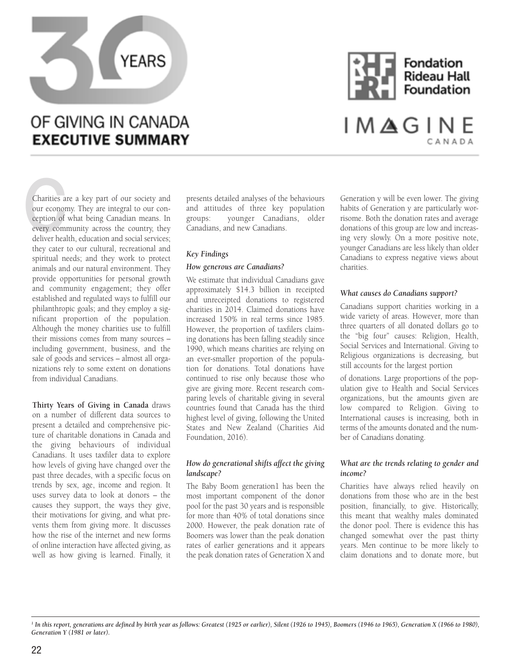

#### OF GIVING IN CANADA **EXECUTIVE SUMMARY**

Charities a<br>our econor<br>ception of<br>every comm<br>deliver heal Charities are a key part of our society and our economy. They are integral to our conception of what being Canadian means. In every community across the country, they deliver health, education and social services; they cater to our cultural, recreational and spiritual needs; and they work to protect animals and our natural environment. They provide opportunities for personal growth and community engagement; they offer established and regulated ways to fulfill our philanthropic goals; and they employ a significant proportion of the population. Although the money charities use to fulfill their missions comes from many sources – including government, business, and the sale of goods and services – almost all organizations rely to some extent on donations from individual Canadians.

**Thirty Years of Giving in Canada** draws on a number of different data sources to present a detailed and comprehensive picture of charitable donations in Canada and the giving behaviours of individual Canadians. It uses taxfiler data to explore how levels of giving have changed over the past three decades, with a specific focus on trends by sex, age, income and region. It uses survey data to look at donors – the causes they support, the ways they give, their motivations for giving, and what prevents them from giving more. It discusses how the rise of the internet and new forms of online interaction have affected giving, as well as how giving is learned. Finally, it

presents detailed analyses of the behaviours and attitudes of three key population groups: younger Canadians, older Canadians, and new Canadians.

#### *Key Findings*

#### *How generous are Canadians?*

We estimate that individual Canadians gave approximately \$14.3 billion in receipted and unreceipted donations to registered charities in 2014. Claimed donations have increased 150% in real terms since 1985. However, the proportion of taxfilers claiming donations has been falling steadily since 1990, which means charities are relying on an ever-smaller proportion of the population for donations. Total donations have continued to rise only because those who give are giving more. Recent research comparing levels of charitable giving in several countries found that Canada has the third highest level of giving, following the United States and New Zealand (Charities Aid Foundation, 2016).

#### *How do generational shifts affect the giving landscape?*

The Baby Boom generation1 has been the most important component of the donor pool for the past 30 years and is responsible for more than 40% of total donations since 2000. However, the peak donation rate of Boomers was lower than the peak donation rates of earlier generations and it appears the peak donation rates of Generation X and

Generation y will be even lower. The giving habits of Generation y are particularly worrisome. Both the donation rates and average donations of this group are low and increasing very slowly. On a more positive note, younger Canadians are less likely than older Canadians to express negative views about charities.

IMAGI

Fondation **Rideau Hall Foundation** 

CANADA

#### *What causes do Canadians support?*

Canadians support charities working in a wide variety of areas. However, more than three quarters of all donated dollars go to the "big four" causes: Religion, Health, Social Services and International. Giving to Religious organizations is decreasing, but still accounts for the largest portion

of donations. Large proportions of the population give to Health and Social Services organizations, but the amounts given are low compared to Religion. Giving to International causes is increasing, both in terms of the amounts donated and the number of Canadians donating.

#### *What are the trends relating to gender and income?*

Charities have always relied heavily on donations from those who are in the best position, financially, to give. Historically, this meant that wealthy males dominated the donor pool. There is evidence this has changed somewhat over the past thirty years. Men continue to be more likely to claim donations and to donate more, but

<sup>1</sup> In this report, generations are defined by birth year as follows: Greatest (1925 or earlier), Silent (1926 to 1945), Boomers (1946 to 1965), Generation X (1966 to 1980), *Generation Y (1981 or later).*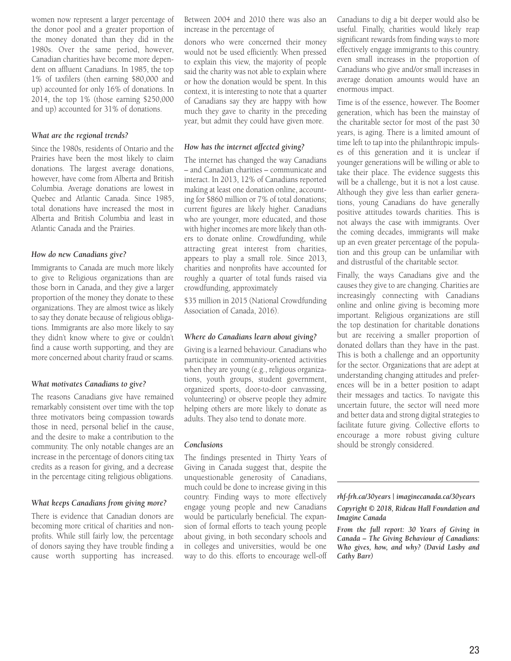women now represent a larger percentage of the donor pool and a greater proportion of the money donated than they did in the 1980s. Over the same period, however, Canadian charities have become more dependent on affluent Canadians. In 1985, the top 1% of taxfilers (then earning \$80,000 and up) accounted for only 16% of donations. In 2014, the top 1% (those earning \$250,000 and up) accounted for 31% of donations.

#### *What are the regional trends?*

Since the 1980s, residents of Ontario and the Prairies have been the most likely to claim donations. The largest average donations, however, have come from Alberta and British Columbia. Average donations are lowest in Quebec and Atlantic Canada. Since 1985, total donations have increased the most in Alberta and British Columbia and least in Atlantic Canada and the Prairies.

#### *How do new Canadians give?*

Immigrants to Canada are much more likely to give to Religious organizations than are those born in Canada, and they give a larger proportion of the money they donate to these organizations. They are almost twice as likely to say they donate because of religious obligations. Immigrants are also more likely to say they didn't know where to give or couldn't find a cause worth supporting, and they are more concerned about charity fraud or scams.

#### *What motivates Canadians to give?*

The reasons Canadians give have remained remarkably consistent over time with the top three motivators being compassion towards those in need, personal belief in the cause, and the desire to make a contribution to the community. The only notable changes are an increase in the percentage of donors citing tax credits as a reason for giving, and a decrease in the percentage citing religious obligations.

#### *What keeps Canadians from giving more?*

There is evidence that Canadian donors are becoming more critical of charities and nonprofits. While still fairly low, the percentage of donors saying they have trouble finding a cause worth supporting has increased.

Between 2004 and 2010 there was also an increase in the percentage of

donors who were concerned their money would not be used efficiently. When pressed to explain this view, the majority of people said the charity was not able to explain where or how the donation would be spent. In this context, it is interesting to note that a quarter of Canadians say they are happy with how much they gave to charity in the preceding year, but admit they could have given more.

#### *How has the internet affected giving?*

The internet has changed the way Canadians – and Canadian charities – communicate and interact. In 2013, 12% of Canadians reported making at least one donation online, accounting for \$860 million or 7% of total donations; current figures are likely higher. Canadians who are younger, more educated, and those with higher incomes are more likely than others to donate online. Crowdfunding, while attracting great interest from charities, appears to play a small role. Since 2013, charities and nonprofits have accounted for roughly a quarter of total funds raised via crowdfunding, approximately

\$35 million in 2015 (National Crowdfunding Association of Canada, 2016).

#### *Where do Canadians learn about giving?*

Giving is a learned behaviour. Canadians who participate in community-oriented activities when they are young (e.g., religious organizations, youth groups, student government, organized sports, door-to-door canvassing, volunteering) or observe people they admire helping others are more likely to donate as adults. They also tend to donate more.

#### *Conclusions*

The findings presented in Thirty Years of Giving in Canada suggest that, despite the unquestionable generosity of Canadians, much could be done to increase giving in this country. Finding ways to more effectively engage young people and new Canadians would be particularly beneficial. The expansion of formal efforts to teach young people about giving, in both secondary schools and in colleges and universities, would be one way to do this. efforts to encourage well-off

Canadians to dig a bit deeper would also be useful. Finally, charities would likely reap significant rewards from finding ways to more effectively engage immigrants to this country. even small increases in the proportion of Canadians who give and/or small increases in average donation amounts would have an enormous impact.

Time is of the essence, however. The Boomer generation, which has been the mainstay of the charitable sector for most of the past 30 years, is aging. There is a limited amount of time left to tap into the philanthropic impulses of this generation and it is unclear if younger generations will be willing or able to take their place. The evidence suggests this will be a challenge, but it is not a lost cause. Although they give less than earlier generations, young Canadians do have generally positive attitudes towards charities. This is not always the case with immigrants. Over the coming decades, immigrants will make up an even greater percentage of the population and this group can be unfamiliar with and distrustful of the charitable sector.

Finally, the ways Canadians give and the causes they give to are changing. Charities are increasingly connecting with Canadians online and online giving is becoming more important. Religious organizations are still the top destination for charitable donations but are receiving a smaller proportion of donated dollars than they have in the past. This is both a challenge and an opportunity for the sector. Organizations that are adept at understanding changing attitudes and preferences will be in a better position to adapt their messages and tactics. To navigate this uncertain future, the sector will need more and better data and strong digital strategies to facilitate future giving. Collective efforts to encourage a more robust giving culture should be strongly considered.

*rhf-frh.ca/30years | imaginecanada.ca/30years* 

*Copyright © 2018, Rideau Hall Foundation and Imagine Canada* 

*From the full report: 30 Years of Giving in Canada – The Giving Behaviour of Canadians: Who gives, how, and why? (David Lasby and Cathy Barr)*